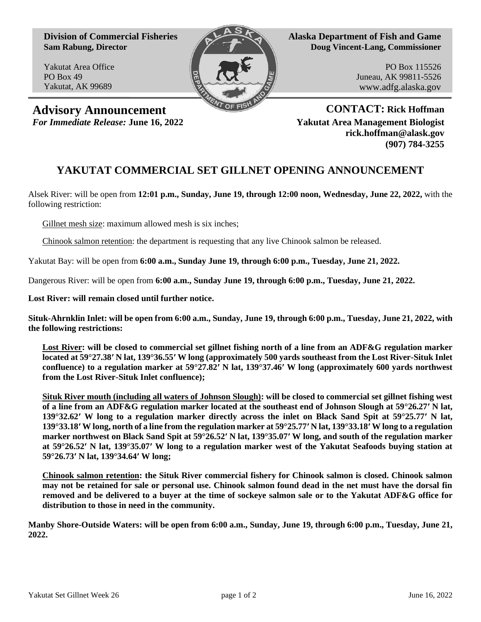**Division of Commercial Fisheries Sam Rabung, Director**

Yakutat Area Office PO Box 49 Yakutat, AK 99689



**Alaska Department of Fish and Game Doug Vincent-Lang, Commissioner**

> PO Box 115526 Juneau, AK 99811-5526 www.adfg.alaska.gov

**Advisory Announcement CONTACT: Rick Hoffman**

*For Immediate Release:* **June 16, 2022 Yakutat Area Management Biologist rick.hoffman@alask.gov (907) 784-3255**

## **YAKUTAT COMMERCIAL SET GILLNET OPENING ANNOUNCEMENT**

Alsek River: will be open from **12:01 p.m., Sunday, June 19, through 12:00 noon, Wednesday, June 22, 2022,** with the following restriction:

Gillnet mesh size: maximum allowed mesh is six inches;

Chinook salmon retention: the department is requesting that any live Chinook salmon be released.

Yakutat Bay: will be open from **6:00 a.m., Sunday June 19, through 6:00 p.m., Tuesday, June 21, 2022.**

Dangerous River: will be open from **6:00 a.m., Sunday June 19, through 6:00 p.m., Tuesday, June 21, 2022.**

**Lost River: will remain closed until further notice.** 

**Situk-Ahrnklin Inlet: will be open from 6:00 a.m., Sunday, June 19, through 6:00 p.m., Tuesday, June 21, 2022, with the following restrictions:**

**Lost River: will be closed to commercial set gillnet fishing north of a line from an ADF&G regulation marker located at 59°27.38′ N lat, 139°36.55′ W long (approximately 500 yards southeast from the Lost River-Situk Inlet confluence) to a regulation marker at 59°27.82′ N lat, 139°37.46′ W long (approximately 600 yards northwest from the Lost River-Situk Inlet confluence);**

**Situk River mouth (including all waters of Johnson Slough): will be closed to commercial set gillnet fishing west of a line from an ADF&G regulation marker located at the southeast end of Johnson Slough at 59°26.27′ N lat, 139°32.62′ W long to a regulation marker directly across the inlet on Black Sand Spit at 59°25.77′ N lat, 139°33.18′ W long, north of a line from the regulation marker at 59°25.77′ N lat, 139°33.18′ W long to a regulation marker northwest on Black Sand Spit at 59°26.52′ N lat, 139°35.07′ W long, and south of the regulation marker at 59°26.52′ N lat, 139°35.07′ W long to a regulation marker west of the Yakutat Seafoods buying station at 59°26.73′ N lat, 139°34.64′ W long;**

**Chinook salmon retention: the Situk River commercial fishery for Chinook salmon is closed. Chinook salmon may not be retained for sale or personal use. Chinook salmon found dead in the net must have the dorsal fin removed and be delivered to a buyer at the time of sockeye salmon sale or to the Yakutat ADF&G office for distribution to those in need in the community.**

**Manby Shore-Outside Waters: will be open from 6:00 a.m., Sunday, June 19, through 6:00 p.m., Tuesday, June 21, 2022.**